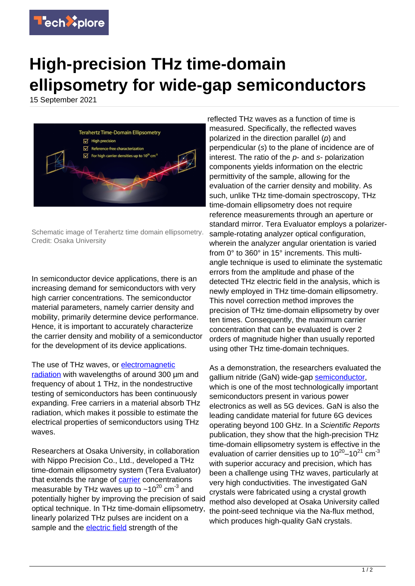

## **High-precision THz time-domain ellipsometry for wide-gap semiconductors**

15 September 2021



Schematic image of Terahertz time domain ellipsometry. Credit: Osaka University

In semiconductor device applications, there is an increasing demand for semiconductors with very high carrier concentrations. The semiconductor material parameters, namely carrier density and mobility, primarily determine device performance. Hence, it is important to accurately characterize the carrier density and mobility of a semiconductor for the development of its device applications.

## The use of THz waves, or [electromagnetic](https://techxplore.com/tags/electromagnetic+radiation/)

[radiation](https://techxplore.com/tags/electromagnetic+radiation/) with wavelengths of around 300 µm and frequency of about 1 THz, in the nondestructive testing of semiconductors has been continuously expanding. Free carriers in a material absorb THz radiation, which makes it possible to estimate the electrical properties of semiconductors using THz waves.

Researchers at Osaka University, in collaboration with Nippo Precision Co., Ltd., developed a THz time-domain ellipsometry system (Tera Evaluator) that extends the range of [carrier](https://techxplore.com/tags/carrier/) concentrations measurable by THz waves up to  $\sim 10^{20}$  cm<sup>-3</sup> and potentially higher by improving the precision of said optical technique. In THz time-domain ellipsometry, linearly polarized THz pulses are incident on a sample and the **electric field** strength of the

reflected THz waves as a function of time is measured. Specifically, the reflected waves polarized in the direction parallel  $(p)$  and perpendicular (s) to the plane of incidence are of interest. The ratio of the  $p$ - and  $s$ - polarization components yields information on the electric permittivity of the sample, allowing for the evaluation of the carrier density and mobility. As such, unlike THz time-domain spectroscopy, THz time-domain ellipsometry does not require reference measurements through an aperture or standard mirror. Tera Evaluator employs a polarizersample-rotating analyzer optical configuration, wherein the analyzer angular orientation is varied from 0° to 360° in 15° increments. This multiangle technique is used to eliminate the systematic errors from the amplitude and phase of the detected THz electric field in the analysis, which is newly employed in THz time-domain ellipsometry. This novel correction method improves the precision of THz time-domain ellipsometry by over ten times. Consequently, the maximum carrier concentration that can be evaluated is over 2 orders of magnitude higher than usually reported using other THz time-domain techniques.

As a demonstration, the researchers evaluated the gallium nitride (GaN) wide-gap [semiconductor,](https://techxplore.com/tags/semiconductor/) which is one of the most technologically important semiconductors present in various power electronics as well as 5G devices. GaN is also the leading candidate material for future 6G devices operating beyond 100 GHz. In a Scientific Reports publication, they show that the high-precision THz time-domain ellipsometry system is effective in the evaluation of carrier densities up to  $10^{20}$ – $10^{21}$  cm<sup>-3</sup> with superior accuracy and precision, which has been a challenge using THz waves, particularly at very high conductivities. The investigated GaN crystals were fabricated using a crystal growth method also developed at Osaka University called the point-seed technique via the Na-flux method, which produces high-quality GaN crystals.